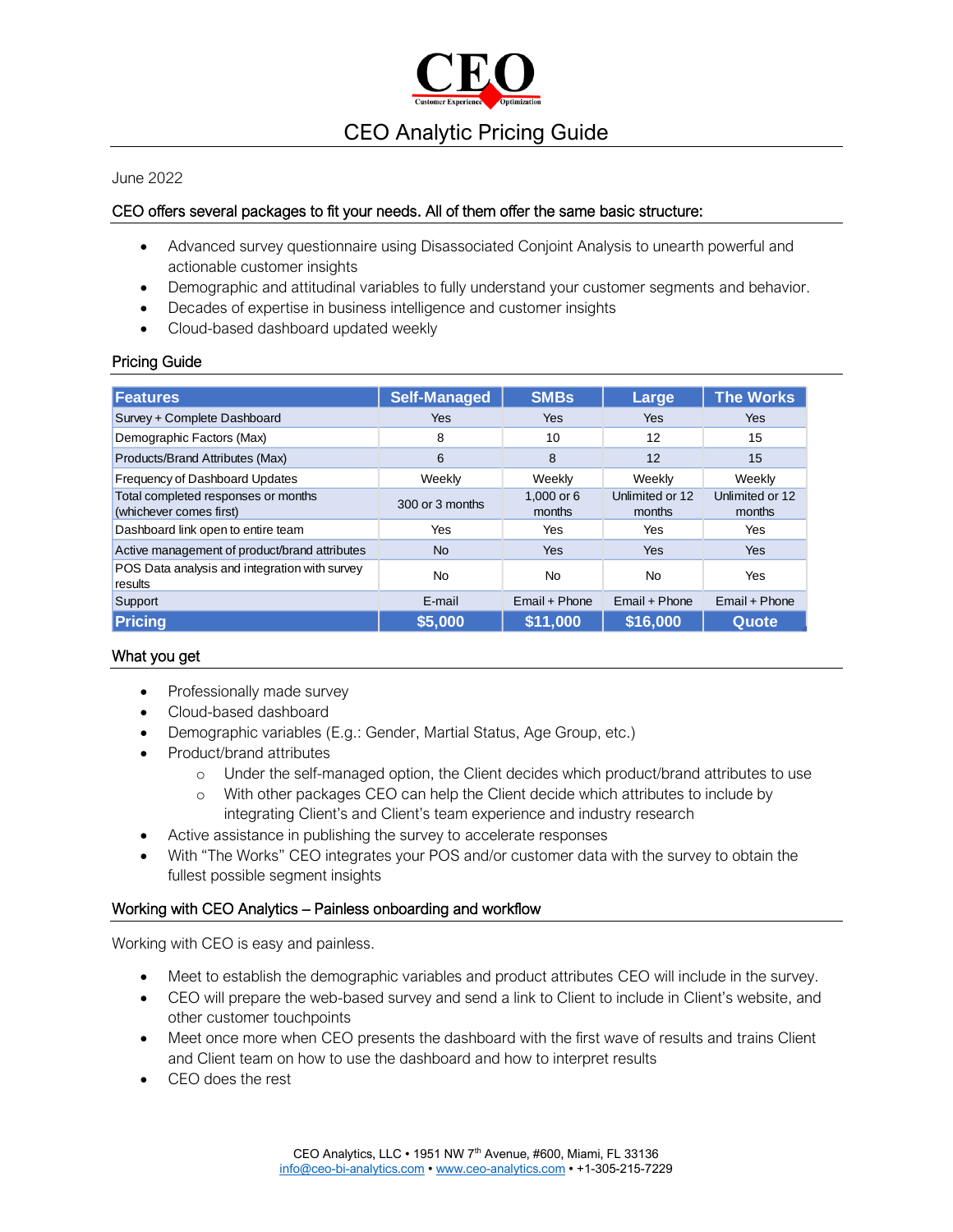

#### June 2022

## CEO offers several packages to fit your needs. All of them offer the same basic structure:

- Advanced survey questionnaire using Disassociated Conjoint Analysis to unearth powerful and actionable customer insights
- Demographic and attitudinal variables to fully understand your customer segments and behavior.
- Decades of expertise in business intelligence and customer insights
- Cloud-based dashboard updated weekly

### Pricing Guide

| <b>Features</b>                                                | <b>Self-Managed</b> | <b>SMBs</b>          | Large                     | <b>The Works</b>          |
|----------------------------------------------------------------|---------------------|----------------------|---------------------------|---------------------------|
| Survey + Complete Dashboard                                    | Yes                 | Yes                  | <b>Yes</b>                | Yes                       |
| Demographic Factors (Max)                                      | 8                   | 10                   | 12                        | 15                        |
| Products/Brand Attributes (Max)                                | 6                   | 8                    | 12                        | 15                        |
| Frequency of Dashboard Updates                                 | Weekly              | Weekly               | Weekly                    | Weekly                    |
| Total completed responses or months<br>(whichever comes first) | 300 or 3 months     | 1.000 or 6<br>months | Unlimited or 12<br>months | Unlimited or 12<br>months |
| Dashboard link open to entire team                             | Yes                 | <b>Yes</b>           | Yes                       | Yes                       |
| Active management of product/brand attributes                  | <b>No</b>           | <b>Yes</b>           | <b>Yes</b>                | <b>Yes</b>                |
| POS Data analysis and integration with survey<br>results       | <b>No</b>           | No.                  | <b>No</b>                 | Yes                       |
| Support                                                        | E-mail              | Email + Phone        | Email + Phone             | Email + Phone             |
| Pricing                                                        | \$5,000             | \$11,000             | \$16,000                  | Quote                     |

## What you get

- Professionally made survey
- Cloud-based dashboard
- Demographic variables (E.g.: Gender, Martial Status, Age Group, etc.)
- Product/brand attributes
	- o Under the self-managed option, the Client decides which product/brand attributes to use
	- o With other packages CEO can help the Client decide which attributes to include by integrating Client's and Client's team experience and industry research
- Active assistance in publishing the survey to accelerate responses
- With "The Works" CEO integrates your POS and/or customer data with the survey to obtain the fullest possible segment insights

### Working with CEO Analytics – Painless onboarding and workflow

Working with CEO is easy and painless.

- Meet to establish the demographic variables and product attributes CEO will include in the survey.
- CEO will prepare the web-based survey and send a link to Client to include in Client's website, and other customer touchpoints
- Meet once more when CEO presents the dashboard with the first wave of results and trains Client and Client team on how to use the dashboard and how to interpret results
- CEO does the rest